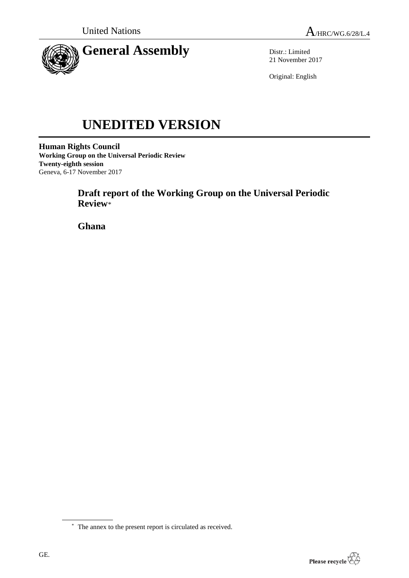

Distr.: Limited 21 November 2017

Original: English

# **UNEDITED VERSION**

**Human Rights Council Working Group on the Universal Periodic Review Twenty-eighth session** Geneva, 6-17 November 2017

> **Draft report of the Working Group on the Universal Periodic Review**\*

**Ghana**

<sup>\*</sup> The annex to the present report is circulated as received.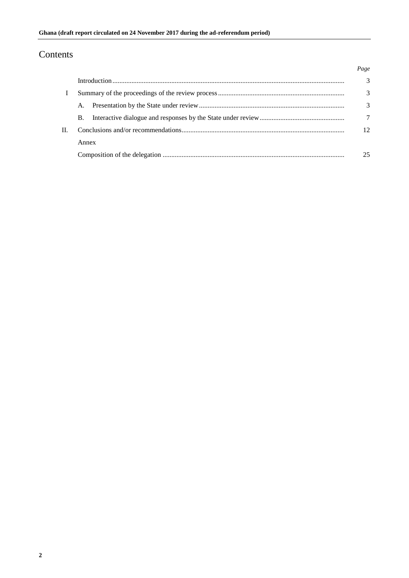## Contents

|         |       | Page |
|---------|-------|------|
|         |       | 3    |
| $\perp$ |       | 3    |
|         | А.    | 3    |
|         | B.    | 7    |
|         |       | 12   |
|         | Annex |      |
|         |       | 25   |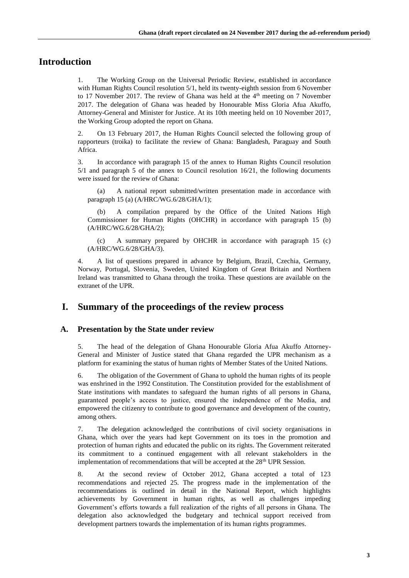### **Introduction**

1. The Working Group on the Universal Periodic Review, established in accordance with Human Rights Council resolution 5/1, held its twenty-eighth session from 6 November to 17 November 2017. The review of Ghana was held at the  $4<sup>th</sup>$  meeting on 7 November 2017. The delegation of Ghana was headed by Honourable Miss Gloria Afua Akuffo, Attorney-General and Minister for Justice. At its 10th meeting held on 10 November 2017, the Working Group adopted the report on Ghana.

2. On 13 February 2017, the Human Rights Council selected the following group of rapporteurs (troika) to facilitate the review of Ghana: Bangladesh, Paraguay and South Africa.

3. In accordance with paragraph 15 of the annex to Human Rights Council resolution 5/1 and paragraph 5 of the annex to Council resolution 16/21, the following documents were issued for the review of Ghana:

(a) A national report submitted/written presentation made in accordance with paragraph 15 (a) (A/HRC/WG.6/28/GHA/1);

(b) A compilation prepared by the Office of the United Nations High Commissioner for Human Rights (OHCHR) in accordance with paragraph 15 (b) (A/HRC/WG.6/28/GHA/2);

(c) A summary prepared by OHCHR in accordance with paragraph 15 (c) (A/HRC/WG.6/28/GHA/3).

4. A list of questions prepared in advance by Belgium, Brazil, Czechia, Germany, Norway, Portugal, Slovenia, Sweden, United Kingdom of Great Britain and Northern Ireland was transmitted to Ghana through the troika. These questions are available on the extranet of the UPR.

#### **I. Summary of the proceedings of the review process**

#### **A. Presentation by the State under review**

5. The head of the delegation of Ghana Honourable Gloria Afua Akuffo Attorney-General and Minister of Justice stated that Ghana regarded the UPR mechanism as a platform for examining the status of human rights of Member States of the United Nations.

6. The obligation of the Government of Ghana to uphold the human rights of its people was enshrined in the 1992 Constitution. The Constitution provided for the establishment of State institutions with mandates to safeguard the human rights of all persons in Ghana, guaranteed people's access to justice, ensured the independence of the Media, and empowered the citizenry to contribute to good governance and development of the country, among others.

7. The delegation acknowledged the contributions of civil society organisations in Ghana, which over the years had kept Government on its toes in the promotion and protection of human rights and educated the public on its rights. The Government reiterated its commitment to a continued engagement with all relevant stakeholders in the implementation of recommendations that will be accepted at the  $28<sup>th</sup> UPR$  Session.

8. At the second review of October 2012, Ghana accepted a total of 123 recommendations and rejected 25. The progress made in the implementation of the recommendations is outlined in detail in the National Report, which highlights achievements by Government in human rights, as well as challenges impeding Government's efforts towards a full realization of the rights of all persons in Ghana. The delegation also acknowledged the budgetary and technical support received from development partners towards the implementation of its human rights programmes.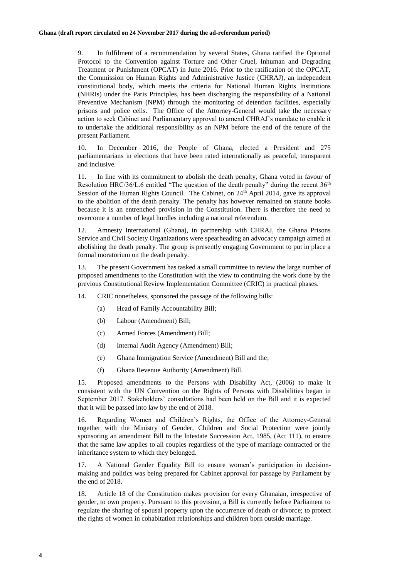9. In fulfilment of a recommendation by several States, Ghana ratified the Optional Protocol to the Convention against Torture and Other Cruel, Inhuman and Degrading Treatment or Punishment (OPCAT) in June 2016. Prior to the ratification of the OPCAT, the Commission on Human Rights and Administrative Justice (CHRAJ), an independent constitutional body, which meets the criteria for National Human Rights Institutions (NHRIs) under the Paris Principles, has been discharging the responsibility of a National Preventive Mechanism (NPM) through the monitoring of detention facilities, especially prisons and police cells. The Office of the Attorney-General would take the necessary action to seek Cabinet and Parliamentary approval to amend CHRAJ's mandate to enable it to undertake the additional responsibility as an NPM before the end of the tenure of the present Parliament.

10. In December 2016, the People of Ghana, elected a President and 275 parliamentarians in elections that have been rated internationally as peaceful, transparent and inclusive.

11. In line with its commitment to abolish the death penalty, Ghana voted in favour of Resolution HRC/36/L.6 entitled "The question of the death penalty" during the recent 36<sup>th</sup> Session of the Human Rights Council. The Cabinet, on 24<sup>th</sup> April 2014, gave its approval to the abolition of the death penalty. The penalty has however remained on statute books because it is an entrenched provision in the Constitution. There is therefore the need to overcome a number of legal hurdles including a national referendum.

12. Amnesty International (Ghana), in partnership with CHRAJ, the Ghana Prisons Service and Civil Society Organizations were spearheading an advocacy campaign aimed at abolishing the death penalty. The group is presently engaging Government to put in place a formal moratorium on the death penalty.

13. The present Government has tasked a small committee to review the large number of proposed amendments to the Constitution with the view to continuing the work done by the previous Constitutional Review Implementation Committee (CRIC) in practical phases.

14. CRIC nonetheless, sponsored the passage of the following bills:

- (a) Head of Family Accountability Bill;
- (b) Labour (Amendment) Bill;
- (c) Armed Forces (Amendment) Bill;
- (d) Internal Audit Agency (Amendment) Bill;
- (e) Ghana Immigration Service (Amendment) Bill and the;
- (f) Ghana Revenue Authority (Amendment) Bill.

15. Proposed amendments to the Persons with Disability Act, (2006) to make it consistent with the UN Convention on the Rights of Persons with Disabilities began in September 2017. Stakeholders' consultations had been held on the Bill and it is expected that it will be passed into law by the end of 2018.

16. Regarding Women and Children's Rights, the Office of the Attorney-General together with the Ministry of Gender, Children and Social Protection were jointly sponsoring an amendment Bill to the Intestate Succession Act, 1985, (Act 111), to ensure that the same law applies to all couples regardless of the type of marriage contracted or the inheritance system to which they belonged.

17. A National Gender Equality Bill to ensure women's participation in decisionmaking and politics was being prepared for Cabinet approval for passage by Parliament by the end of 2018.

18. Article 18 of the Constitution makes provision for every Ghanaian, irrespective of gender, to own property. Pursuant to this provision, a Bill is currently before Parliament to regulate the sharing of spousal property upon the occurrence of death or divorce; to protect the rights of women in cohabitation relationships and children born outside marriage.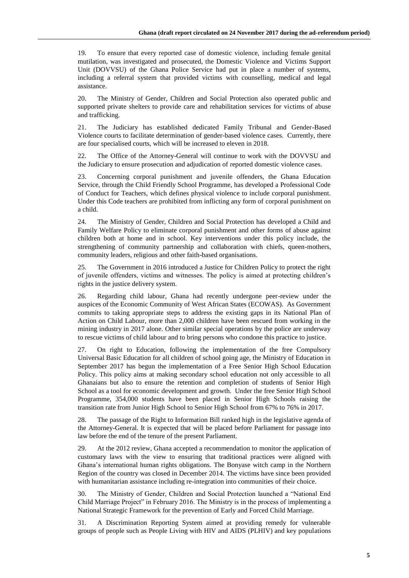19. To ensure that every reported case of domestic violence, including female genital mutilation, was investigated and prosecuted, the Domestic Violence and Victims Support Unit (DOVVSU) of the Ghana Police Service had put in place a number of systems, including a referral system that provided victims with counselling, medical and legal assistance.

20. The Ministry of Gender, Children and Social Protection also operated public and supported private shelters to provide care and rehabilitation services for victims of abuse and trafficking.

21. The Judiciary has established dedicated Family Tribunal and Gender-Based Violence courts to facilitate determination of gender-based violence cases. Currently, there are four specialised courts, which will be increased to eleven in 2018.

22. The Office of the Attorney-General will continue to work with the DOVVSU and the Judiciary to ensure prosecution and adjudication of reported domestic violence cases.

23. Concerning corporal punishment and juvenile offenders, the Ghana Education Service, through the Child Friendly School Programme, has developed a Professional Code of Conduct for Teachers, which defines physical violence to include corporal punishment. Under this Code teachers are prohibited from inflicting any form of corporal punishment on a child.

24. The Ministry of Gender, Children and Social Protection has developed a Child and Family Welfare Policy to eliminate corporal punishment and other forms of abuse against children both at home and in school. Key interventions under this policy include, the strengthening of community partnership and collaboration with chiefs, queen-mothers, community leaders, religious and other faith-based organisations.

25. The Government in 2016 introduced a Justice for Children Policy to protect the right of juvenile offenders, victims and witnesses. The policy is aimed at protecting children's rights in the justice delivery system.

26. Regarding child labour, Ghana had recently undergone peer-review under the auspices of the Economic Community of West African States (ECOWAS). As Government commits to taking appropriate steps to address the existing gaps in its National Plan of Action on Child Labour, more than 2,000 children have been rescued from working in the mining industry in 2017 alone. Other similar special operations by the police are underway to rescue victims of child labour and to bring persons who condone this practice to justice.

27. On right to Education, following the implementation of the free Compulsory Universal Basic Education for all children of school going age, the Ministry of Education in September 2017 has begun the implementation of a Free Senior High School Education Policy. This policy aims at making secondary school education not only accessible to all Ghanaians but also to ensure the retention and completion of students of Senior High School as a tool for economic development and growth. Under the free Senior High School Programme, 354,000 students have been placed in Senior High Schools raising the transition rate from Junior High School to Senior High School from 67% to 76% in 2017.

28. The passage of the Right to Information Bill ranked high in the legislative agenda of the Attorney-General. It is expected that will be placed before Parliament for passage into law before the end of the tenure of the present Parliament.

29. At the 2012 review, Ghana accepted a recommendation to monitor the application of customary laws with the view to ensuring that traditional practices were aligned with Ghana's international human rights obligations. The Bonyase witch camp in the Northern Region of the country was closed in December 2014. The victims have since been provided with humanitarian assistance including re-integration into communities of their choice.

30. The Ministry of Gender, Children and Social Protection launched a "National End Child Marriage Project" in February 2016. The Ministry is in the process of implementing a National Strategic Framework for the prevention of Early and Forced Child Marriage.

31. A Discrimination Reporting System aimed at providing remedy for vulnerable groups of people such as People Living with HIV and AIDS (PLHIV) and key populations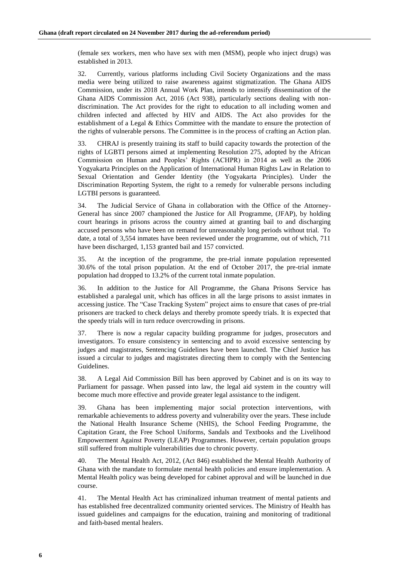(female sex workers, men who have sex with men (MSM), people who inject drugs) was established in 2013.

32. Currently, various platforms including Civil Society Organizations and the mass media were being utilized to raise awareness against stigmatization. The Ghana AIDS Commission, under its 2018 Annual Work Plan, intends to intensify dissemination of the Ghana AIDS Commission Act, 2016 (Act 938), particularly sections dealing with nondiscrimination. The Act provides for the right to education to all including women and children infected and affected by HIV and AIDS. The Act also provides for the establishment of a Legal & Ethics Committee with the mandate to ensure the protection of the rights of vulnerable persons. The Committee is in the process of crafting an Action plan.

33. CHRAJ is presently training its staff to build capacity towards the protection of the rights of LGBTI persons aimed at implementing Resolution 275, adopted by the African Commission on Human and Peoples' Rights (ACHPR) in 2014 as well as the 2006 Yogyakarta Principles on the Application of International Human Rights Law in Relation to Sexual Orientation and Gender Identity (the Yogyakarta Principles). Under the Discrimination Reporting System, the right to a remedy for vulnerable persons including LGTBI persons is guaranteed.

34. The Judicial Service of Ghana in collaboration with the Office of the Attorney-General has since 2007 championed the Justice for All Programme, (JFAP), by holding court hearings in prisons across the country aimed at granting bail to and discharging accused persons who have been on remand for unreasonably long periods without trial. To date, a total of 3,554 inmates have been reviewed under the programme, out of which, 711 have been discharged, 1,153 granted bail and 157 convicted.

35. At the inception of the programme, the pre-trial inmate population represented 30.6% of the total prison population. At the end of October 2017, the pre-trial inmate population had dropped to 13.2% of the current total inmate population.

36. In addition to the Justice for All Programme, the Ghana Prisons Service has established a paralegal unit, which has offices in all the large prisons to assist inmates in accessing justice. The "Case Tracking System" project aims to ensure that cases of pre-trial prisoners are tracked to check delays and thereby promote speedy trials. It is expected that the speedy trials will in turn reduce overcrowding in prisons.

37. There is now a regular capacity building programme for judges, prosecutors and investigators. To ensure consistency in sentencing and to avoid excessive sentencing by judges and magistrates, Sentencing Guidelines have been launched. The Chief Justice has issued a circular to judges and magistrates directing them to comply with the Sentencing Guidelines.

38. A Legal Aid Commission Bill has been approved by Cabinet and is on its way to Parliament for passage. When passed into law, the legal aid system in the country will become much more effective and provide greater legal assistance to the indigent.

39. Ghana has been implementing major social protection interventions, with remarkable achievements to address poverty and vulnerability over the years. These include the National Health Insurance Scheme (NHIS), the School Feeding Programme, the Capitation Grant, the Free School Uniforms, Sandals and Textbooks and the Livelihood Empowerment Against Poverty (LEAP) Programmes. However, certain population groups still suffered from multiple vulnerabilities due to chronic poverty.

40. The Mental Health Act, 2012, (Act 846) established the Mental Health Authority of Ghana with the mandate to formulate mental health policies and ensure implementation. A Mental Health policy was being developed for cabinet approval and will be launched in due course.

41. The Mental Health Act has criminalized inhuman treatment of mental patients and has established free decentralized community oriented services. The Ministry of Health has issued guidelines and campaigns for the education, training and monitoring of traditional and faith-based mental healers.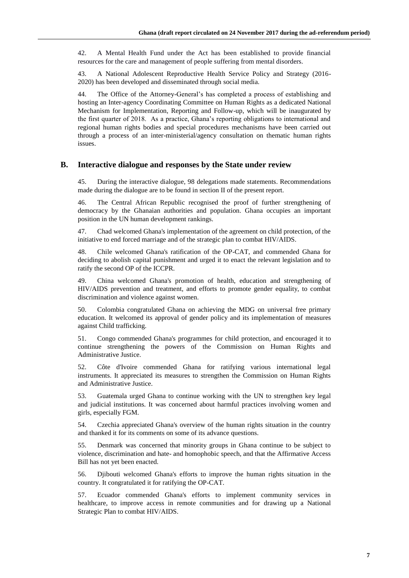42. A Mental Health Fund under the Act has been established to provide financial resources for the care and management of people suffering from mental disorders.

43. A National Adolescent Reproductive Health Service Policy and Strategy (2016- 2020) has been developed and disseminated through social media.

44. The Office of the Attorney-General's has completed a process of establishing and hosting an Inter-agency Coordinating Committee on Human Rights as a dedicated National Mechanism for Implementation, Reporting and Follow-up, which will be inaugurated by the first quarter of 2018. As a practice, Ghana's reporting obligations to international and regional human rights bodies and special procedures mechanisms have been carried out through a process of an inter-ministerial/agency consultation on thematic human rights issues.

#### **B. Interactive dialogue and responses by the State under review**

45. During the interactive dialogue, 98 delegations made statements. Recommendations made during the dialogue are to be found in section II of the present report.

46. The Central African Republic recognised the proof of further strengthening of democracy by the Ghanaian authorities and population. Ghana occupies an important position in the UN human development rankings.

47. Chad welcomed Ghana's implementation of the agreement on child protection, of the initiative to end forced marriage and of the strategic plan to combat HIV/AIDS.

48. Chile welcomed Ghana's ratification of the OP-CAT, and commended Ghana for deciding to abolish capital punishment and urged it to enact the relevant legislation and to ratify the second OP of the ICCPR.

49. China welcomed Ghana's promotion of health, education and strengthening of HIV/AIDS prevention and treatment, and efforts to promote gender equality, to combat discrimination and violence against women.

50. Colombia congratulated Ghana on achieving the MDG on universal free primary education. It welcomed its approval of gender policy and its implementation of measures against Child trafficking.

51. Congo commended Ghana's programmes for child protection, and encouraged it to continue strengthening the powers of the Commission on Human Rights and Administrative Justice.

52. Côte d'Ivoire commended Ghana for ratifying various international legal instruments. It appreciated its measures to strengthen the Commission on Human Rights and Administrative Justice.

53. Guatemala urged Ghana to continue working with the UN to strengthen key legal and judicial institutions. It was concerned about harmful practices involving women and girls, especially FGM.

54. Czechia appreciated Ghana's overview of the human rights situation in the country and thanked it for its comments on some of its advance questions.

55. Denmark was concerned that minority groups in Ghana continue to be subject to violence, discrimination and hate- and homophobic speech, and that the Affirmative Access Bill has not yet been enacted.

56. Djibouti welcomed Ghana's efforts to improve the human rights situation in the country. It congratulated it for ratifying the OP-CAT.

57. Ecuador commended Ghana's efforts to implement community services in healthcare, to improve access in remote communities and for drawing up a National Strategic Plan to combat HIV/AIDS.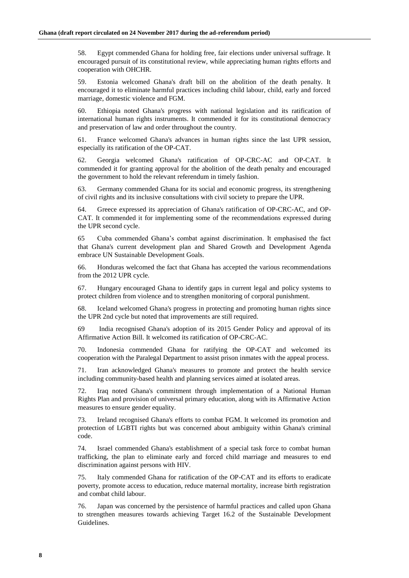58. Egypt commended Ghana for holding free, fair elections under universal suffrage. It encouraged pursuit of its constitutional review, while appreciating human rights efforts and cooperation with OHCHR.

59. Estonia welcomed Ghana's draft bill on the abolition of the death penalty. It encouraged it to eliminate harmful practices including child labour, child, early and forced marriage, domestic violence and FGM.

60. Ethiopia noted Ghana's progress with national legislation and its ratification of international human rights instruments. It commended it for its constitutional democracy and preservation of law and order throughout the country.

61. France welcomed Ghana's advances in human rights since the last UPR session, especially its ratification of the OP-CAT.

62. Georgia welcomed Ghana's ratification of OP-CRC-AC and OP-CAT. It commended it for granting approval for the abolition of the death penalty and encouraged the government to hold the relevant referendum in timely fashion.

63. Germany commended Ghana for its social and economic progress, its strengthening of civil rights and its inclusive consultations with civil society to prepare the UPR.

64. Greece expressed its appreciation of Ghana's ratification of OP-CRC-AC, and OP-CAT. It commended it for implementing some of the recommendations expressed during the UPR second cycle.

65 Cuba commended Ghana's combat against discrimination. It emphasised the fact that Ghana's current development plan and Shared Growth and Development Agenda embrace UN Sustainable Development Goals.

66. Honduras welcomed the fact that Ghana has accepted the various recommendations from the 2012 UPR cycle.

67. Hungary encouraged Ghana to identify gaps in current legal and policy systems to protect children from violence and to strengthen monitoring of corporal punishment.

68. Iceland welcomed Ghana's progress in protecting and promoting human rights since the UPR 2nd cycle but noted that improvements are still required.

69 India recognised Ghana's adoption of its 2015 Gender Policy and approval of its Affirmative Action Bill. It welcomed its ratification of OP-CRC-AC.

70. Indonesia commended Ghana for ratifying the OP-CAT and welcomed its cooperation with the Paralegal Department to assist prison inmates with the appeal process.

71. Iran acknowledged Ghana's measures to promote and protect the health service including community-based health and planning services aimed at isolated areas.

72. Iraq noted Ghana's commitment through implementation of a National Human Rights Plan and provision of universal primary education, along with its Affirmative Action measures to ensure gender equality.

73. Ireland recognised Ghana's efforts to combat FGM. It welcomed its promotion and protection of LGBTI rights but was concerned about ambiguity within Ghana's criminal code.

74. Israel commended Ghana's establishment of a special task force to combat human trafficking, the plan to eliminate early and forced child marriage and measures to end discrimination against persons with HIV.

75. Italy commended Ghana for ratification of the OP-CAT and its efforts to eradicate poverty, promote access to education, reduce maternal mortality, increase birth registration and combat child labour.

76. Japan was concerned by the persistence of harmful practices and called upon Ghana to strengthen measures towards achieving Target 16.2 of the Sustainable Development Guidelines.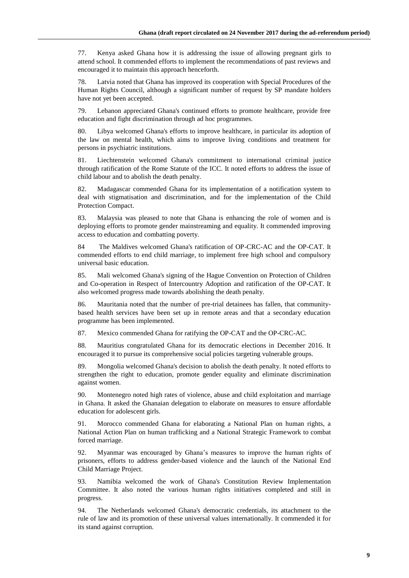77. Kenya asked Ghana how it is addressing the issue of allowing pregnant girls to attend school. It commended efforts to implement the recommendations of past reviews and encouraged it to maintain this approach henceforth.

78. Latvia noted that Ghana has improved its cooperation with Special Procedures of the Human Rights Council, although a significant number of request by SP mandate holders have not yet been accepted.

79. Lebanon appreciated Ghana's continued efforts to promote healthcare, provide free education and fight discrimination through ad hoc programmes.

80. Libya welcomed Ghana's efforts to improve healthcare, in particular its adoption of the law on mental health, which aims to improve living conditions and treatment for persons in psychiatric institutions.

81. Liechtenstein welcomed Ghana's commitment to international criminal justice through ratification of the Rome Statute of the ICC. It noted efforts to address the issue of child labour and to abolish the death penalty.

82. Madagascar commended Ghana for its implementation of a notification system to deal with stigmatisation and discrimination, and for the implementation of the Child Protection Compact.

83. Malaysia was pleased to note that Ghana is enhancing the role of women and is deploying efforts to promote gender mainstreaming and equality. It commended improving access to education and combatting poverty.

84 The Maldives welcomed Ghana's ratification of OP-CRC-AC and the OP-CAT. It commended efforts to end child marriage, to implement free high school and compulsory universal basic education.

85. Mali welcomed Ghana's signing of the Hague Convention on Protection of Children and Co-operation in Respect of Intercountry Adoption and ratification of the OP-CAT. It also welcomed progress made towards abolishing the death penalty.

86. Mauritania noted that the number of pre-trial detainees has fallen, that communitybased health services have been set up in remote areas and that a secondary education programme has been implemented.

87. Mexico commended Ghana for ratifying the OP-CAT and the OP-CRC-AC.

88. Mauritius congratulated Ghana for its democratic elections in December 2016. It encouraged it to pursue its comprehensive social policies targeting vulnerable groups.

89. Mongolia welcomed Ghana's decision to abolish the death penalty. It noted efforts to strengthen the right to education, promote gender equality and eliminate discrimination against women.

90. Montenegro noted high rates of violence, abuse and child exploitation and marriage in Ghana. It asked the Ghanaian delegation to elaborate on measures to ensure affordable education for adolescent girls.

91. Morocco commended Ghana for elaborating a National Plan on human rights, a National Action Plan on human trafficking and a National Strategic Framework to combat forced marriage.

92. Myanmar was encouraged by Ghana's measures to improve the human rights of prisoners, efforts to address gender-based violence and the launch of the National End Child Marriage Project.

93. Namibia welcomed the work of Ghana's Constitution Review Implementation Committee. It also noted the various human rights initiatives completed and still in progress.

94. The Netherlands welcomed Ghana's democratic credentials, its attachment to the rule of law and its promotion of these universal values internationally. It commended it for its stand against corruption.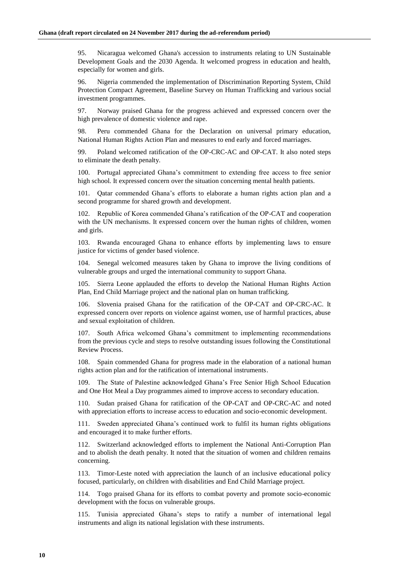95. Nicaragua welcomed Ghana's accession to instruments relating to UN Sustainable Development Goals and the 2030 Agenda. It welcomed progress in education and health, especially for women and girls.

96. Nigeria commended the implementation of Discrimination Reporting System, Child Protection Compact Agreement, Baseline Survey on Human Trafficking and various social investment programmes.

97. Norway praised Ghana for the progress achieved and expressed concern over the high prevalence of domestic violence and rape.

98. Peru commended Ghana for the Declaration on universal primary education, National Human Rights Action Plan and measures to end early and forced marriages.

99. Poland welcomed ratification of the OP-CRC-AC and OP-CAT. It also noted steps to eliminate the death penalty.

100. Portugal appreciated Ghana's commitment to extending free access to free senior high school. It expressed concern over the situation concerning mental health patients.

101. Qatar commended Ghana's efforts to elaborate a human rights action plan and a second programme for shared growth and development.

102. Republic of Korea commended Ghana's ratification of the OP-CAT and cooperation with the UN mechanisms. It expressed concern over the human rights of children, women and girls.

103. Rwanda encouraged Ghana to enhance efforts by implementing laws to ensure justice for victims of gender based violence.

104. Senegal welcomed measures taken by Ghana to improve the living conditions of vulnerable groups and urged the international community to support Ghana.

105. Sierra Leone applauded the efforts to develop the National Human Rights Action Plan, End Child Marriage project and the national plan on human trafficking.

106. Slovenia praised Ghana for the ratification of the OP-CAT and OP-CRC-AC. It expressed concern over reports on violence against women, use of harmful practices, abuse and sexual exploitation of children.

107. South Africa welcomed Ghana's commitment to implementing recommendations from the previous cycle and steps to resolve outstanding issues following the Constitutional Review Process.

108. Spain commended Ghana for progress made in the elaboration of a national human rights action plan and for the ratification of international instruments.

109. The State of Palestine acknowledged Ghana's Free Senior High School Education and One Hot Meal a Day programmes aimed to improve access to secondary education.

110. Sudan praised Ghana for ratification of the OP-CAT and OP-CRC-AC and noted with appreciation efforts to increase access to education and socio-economic development.

111. Sweden appreciated Ghana's continued work to fulfil its human rights obligations and encouraged it to make further efforts.

112. Switzerland acknowledged efforts to implement the National Anti-Corruption Plan and to abolish the death penalty. It noted that the situation of women and children remains concerning.

113. Timor-Leste noted with appreciation the launch of an inclusive educational policy focused, particularly, on children with disabilities and End Child Marriage project.

114. Togo praised Ghana for its efforts to combat poverty and promote socio-economic development with the focus on vulnerable groups.

115. Tunisia appreciated Ghana's steps to ratify a number of international legal instruments and align its national legislation with these instruments.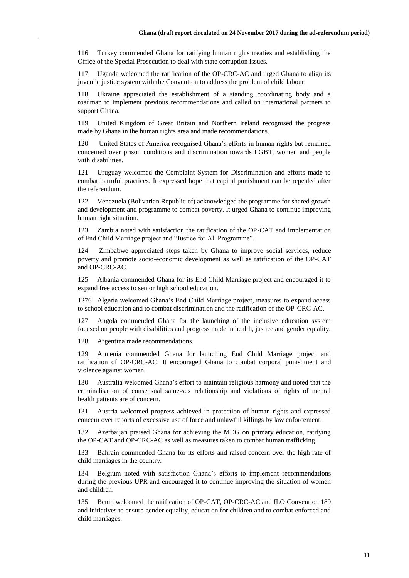116. Turkey commended Ghana for ratifying human rights treaties and establishing the Office of the Special Prosecution to deal with state corruption issues.

117. Uganda welcomed the ratification of the OP-CRC-AC and urged Ghana to align its juvenile justice system with the Convention to address the problem of child labour.

118. Ukraine appreciated the establishment of a standing coordinating body and a roadmap to implement previous recommendations and called on international partners to support Ghana.

119. United Kingdom of Great Britain and Northern Ireland recognised the progress made by Ghana in the human rights area and made recommendations.

120 United States of America recognised Ghana's efforts in human rights but remained concerned over prison conditions and discrimination towards LGBT, women and people with disabilities.

121. Uruguay welcomed the Complaint System for Discrimination and efforts made to combat harmful practices. It expressed hope that capital punishment can be repealed after the referendum.

122. Venezuela (Bolivarian Republic of) acknowledged the programme for shared growth and development and programme to combat poverty. It urged Ghana to continue improving human right situation.

123. Zambia noted with satisfaction the ratification of the OP-CAT and implementation of End Child Marriage project and "Justice for All Programme".

124 Zimbabwe appreciated steps taken by Ghana to improve social services, reduce poverty and promote socio-economic development as well as ratification of the OP-CAT and OP-CRC-AC.

125. Albania commended Ghana for its End Child Marriage project and encouraged it to expand free access to senior high school education.

1276 Algeria welcomed Ghana's End Child Marriage project, measures to expand access to school education and to combat discrimination and the ratification of the OP-CRC-AC.

127. Angola commended Ghana for the launching of the inclusive education system focused on people with disabilities and progress made in health, justice and gender equality.

128. Argentina made recommendations.

129. Armenia commended Ghana for launching End Child Marriage project and ratification of OP-CRC-AC. It encouraged Ghana to combat corporal punishment and violence against women.

130. Australia welcomed Ghana's effort to maintain religious harmony and noted that the criminalisation of consensual same-sex relationship and violations of rights of mental health patients are of concern.

131. Austria welcomed progress achieved in protection of human rights and expressed concern over reports of excessive use of force and unlawful killings by law enforcement.

132. Azerbaijan praised Ghana for achieving the MDG on primary education, ratifying the OP-CAT and OP-CRC-AC as well as measures taken to combat human trafficking.

133. Bahrain commended Ghana for its efforts and raised concern over the high rate of child marriages in the country.

134. Belgium noted with satisfaction Ghana's efforts to implement recommendations during the previous UPR and encouraged it to continue improving the situation of women and children.

135. Benin welcomed the ratification of OP-CAT, OP-CRC-AC and ILO Convention 189 and initiatives to ensure gender equality, education for children and to combat enforced and child marriages.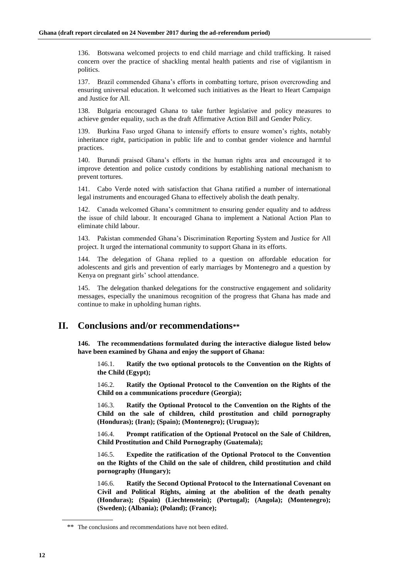136. Botswana welcomed projects to end child marriage and child trafficking. It raised concern over the practice of shackling mental health patients and rise of vigilantism in politics.

137. Brazil commended Ghana's efforts in combatting torture, prison overcrowding and ensuring universal education. It welcomed such initiatives as the Heart to Heart Campaign and Justice for All.

138. Bulgaria encouraged Ghana to take further legislative and policy measures to achieve gender equality, such as the draft Affirmative Action Bill and Gender Policy.

139. Burkina Faso urged Ghana to intensify efforts to ensure women's rights, notably inheritance right, participation in public life and to combat gender violence and harmful practices.

140. Burundi praised Ghana's efforts in the human rights area and encouraged it to improve detention and police custody conditions by establishing national mechanism to prevent tortures.

141. Cabo Verde noted with satisfaction that Ghana ratified a number of international legal instruments and encouraged Ghana to effectively abolish the death penalty.

Canada welcomed Ghana's commitment to ensuring gender equality and to address the issue of child labour. It encouraged Ghana to implement a National Action Plan to eliminate child labour.

143. Pakistan commended Ghana's Discrimination Reporting System and Justice for All project. It urged the international community to support Ghana in its efforts.

144. The delegation of Ghana replied to a question on affordable education for adolescents and girls and prevention of early marriages by Montenegro and a question by Kenya on pregnant girls' school attendance.

145. The delegation thanked delegations for the constructive engagement and solidarity messages, especially the unanimous recognition of the progress that Ghana has made and continue to make in upholding human rights.

#### **II. Conclusions and/or recommendations\*\***

**146. The recommendations formulated during the interactive dialogue listed below have been examined by Ghana and enjoy the support of Ghana:**

146.1. **Ratify the two optional protocols to the Convention on the Rights of the Child (Egypt);**

146.2. **Ratify the Optional Protocol to the Convention on the Rights of the Child on a communications procedure (Georgia);**

146.3. **Ratify the Optional Protocol to the Convention on the Rights of the Child on the sale of children, child prostitution and child pornography (Honduras); (Iran); (Spain); (Montenegro); (Uruguay);**

146.4. **Prompt ratification of the Optional Protocol on the Sale of Children, Child Prostitution and Child Pornography (Guatemala);**

146.5. **Expedite the ratification of the Optional Protocol to the Convention on the Rights of the Child on the sale of children, child prostitution and child pornography (Hungary);**

146.6. **Ratify the Second Optional Protocol to the International Covenant on Civil and Political Rights, aiming at the abolition of the death penalty (Honduras); (Spain) (Liechtenstein); (Portugal); (Angola); (Montenegro); (Sweden); (Albania); (Poland); (France);**

<sup>\*\*</sup> The conclusions and recommendations have not been edited.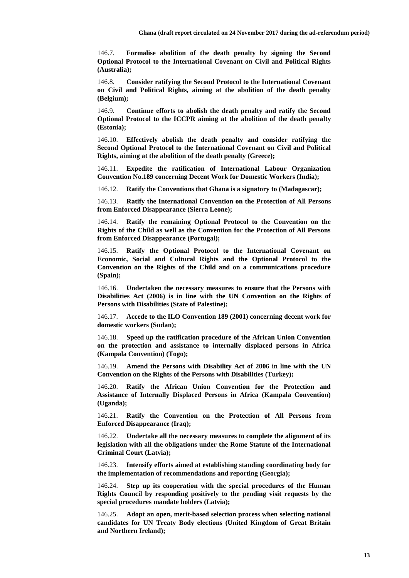146.7. **Formalise abolition of the death penalty by signing the Second Optional Protocol to the International Covenant on Civil and Political Rights (Australia);**

146.8. **Consider ratifying the Second Protocol to the International Covenant on Civil and Political Rights, aiming at the abolition of the death penalty (Belgium);**

146.9. **Continue efforts to abolish the death penalty and ratify the Second Optional Protocol to the ICCPR aiming at the abolition of the death penalty (Estonia);**

146.10. **Effectively abolish the death penalty and consider ratifying the Second Optional Protocol to the International Covenant on Civil and Political Rights, aiming at the abolition of the death penalty (Greece);**

146.11. **Expedite the ratification of International Labour Organization Convention No.189 concerning Decent Work for Domestic Workers (India);**

146.12. **Ratify the Conventions that Ghana is a signatory to (Madagascar);**

146.13. **Ratify the International Convention on the Protection of All Persons from Enforced Disappearance (Sierra Leone);**

146.14. **Ratify the remaining Optional Protocol to the Convention on the Rights of the Child as well as the Convention for the Protection of All Persons from Enforced Disappearance (Portugal);**

146.15. **Ratify the Optional Protocol to the International Covenant on Economic, Social and Cultural Rights and the Optional Protocol to the Convention on the Rights of the Child and on a communications procedure (Spain);**

146.16. **Undertaken the necessary measures to ensure that the Persons with Disabilities Act (2006) is in line with the UN Convention on the Rights of Persons with Disabilities (State of Palestine);**

146.17. **Accede to the ILO Convention 189 (2001) concerning decent work for domestic workers (Sudan);**

146.18. **Speed up the ratification procedure of the African Union Convention on the protection and assistance to internally displaced persons in Africa (Kampala Convention) (Togo);**

146.19. **Amend the Persons with Disability Act of 2006 in line with the UN Convention on the Rights of the Persons with Disabilities (Turkey);**

146.20. **Ratify the African Union Convention for the Protection and Assistance of Internally Displaced Persons in Africa (Kampala Convention) (Uganda);**

146.21. **Ratify the Convention on the Protection of All Persons from Enforced Disappearance (Iraq);**

146.22. **Undertake all the necessary measures to complete the alignment of its legislation with all the obligations under the Rome Statute of the International Criminal Court (Latvia);**

146.23. **Intensify efforts aimed at establishing standing coordinating body for the implementation of recommendations and reporting (Georgia);**

146.24. **Step up its cooperation with the special procedures of the Human Rights Council by responding positively to the pending visit requests by the special procedures mandate holders (Latvia);**

146.25. **Adopt an open, merit-based selection process when selecting national candidates for UN Treaty Body elections (United Kingdom of Great Britain and Northern Ireland);**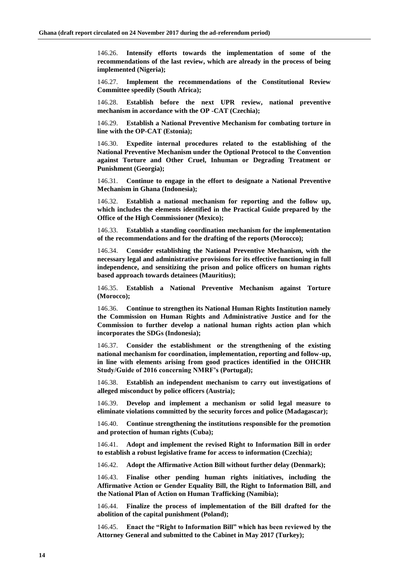146.26. **Intensify efforts towards the implementation of some of the recommendations of the last review, which are already in the process of being implemented (Nigeria);**

146.27. **Implement the recommendations of the Constitutional Review Committee speedily (South Africa);**

146.28. **Establish before the next UPR review, national preventive mechanism in accordance with the OP -CAT (Czechia);**

146.29. **Establish a National Preventive Mechanism for combating torture in line with the OP-CAT (Estonia);**

146.30. **Expedite internal procedures related to the establishing of the National Preventive Mechanism under the Optional Protocol to the Convention against Torture and Other Cruel, Inhuman or Degrading Treatment or Punishment (Georgia);**

146.31. **Continue to engage in the effort to designate a National Preventive Mechanism in Ghana (Indonesia);**

146.32. **Establish a national mechanism for reporting and the follow up, which includes the elements identified in the Practical Guide prepared by the Office of the High Commissioner (Mexico);**

146.33. **Establish a standing coordination mechanism for the implementation of the recommendations and for the drafting of the reports (Morocco);**

146.34. **Consider establishing the National Preventive Mechanism, with the necessary legal and administrative provisions for its effective functioning in full independence, and sensitizing the prison and police officers on human rights based approach towards detainees (Mauritius);**

146.35. **Establish a National Preventive Mechanism against Torture (Morocco);**

146.36. **Continue to strengthen its National Human Rights Institution namely the Commission on Human Rights and Administrative Justice and for the Commission to further develop a national human rights action plan which incorporates the SDGs (Indonesia);**

146.37. **Consider the establishment or the strengthening of the existing national mechanism for coordination, implementation, reporting and follow-up, in line with elements arising from good practices identified in the OHCHR Study/Guide of 2016 concerning NMRF's (Portugal);**

146.38. **Establish an independent mechanism to carry out investigations of alleged misconduct by police officers (Austria);**

146.39. **Develop and implement a mechanism or solid legal measure to eliminate violations committed by the security forces and police (Madagascar);**

146.40. **Continue strengthening the institutions responsible for the promotion and protection of human rights (Cuba);**

146.41. **Adopt and implement the revised Right to Information Bill in order to establish a robust legislative frame for access to information (Czechia);**

146.42. **Adopt the Affirmative Action Bill without further delay (Denmark);**

146.43. **Finalise other pending human rights initiatives, including the Affirmative Action or Gender Equality Bill, the Right to Information Bill, and the National Plan of Action on Human Trafficking (Namibia);**

146.44. **Finalize the process of implementation of the Bill drafted for the abolition of the capital punishment (Poland);**

146.45. **Enact the "Right to Information Bill" which has been reviewed by the Attorney General and submitted to the Cabinet in May 2017 (Turkey);**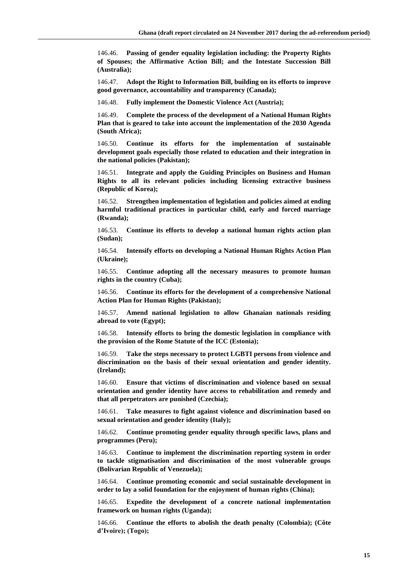146.46. **Passing of gender equality legislation including: the Property Rights of Spouses; the Affirmative Action Bill; and the Intestate Succession Bill (Australia);**

146.47. **Adopt the Right to Information Bill, building on its efforts to improve good governance, accountability and transparency (Canada);**

146.48. **Fully implement the Domestic Violence Act (Austria);**

146.49. **Complete the process of the development of a National Human Rights Plan that is geared to take into account the implementation of the 2030 Agenda (South Africa);**

146.50. **Continue its efforts for the implementation of sustainable development goals especially those related to education and their integration in the national policies (Pakistan);**

146.51. **Integrate and apply the Guiding Principles on Business and Human Rights to all its relevant policies including licensing extractive business (Republic of Korea);**

146.52. **Strengthen implementation of legislation and policies aimed at ending harmful traditional practices in particular child, early and forced marriage (Rwanda);**

146.53. **Continue its efforts to develop a national human rights action plan (Sudan);**

146.54. **Intensify efforts on developing a National Human Rights Action Plan (Ukraine);**

146.55. **Continue adopting all the necessary measures to promote human rights in the country (Cuba);**

146.56. **Continue its efforts for the development of a comprehensive National Action Plan for Human Rights (Pakistan);**

146.57. **Amend national legislation to allow Ghanaian nationals residing abroad to vote (Egypt);**

146.58. **Intensify efforts to bring the domestic legislation in compliance with the provision of the Rome Statute of the ICC (Estonia);**

146.59. **Take the steps necessary to protect LGBTI persons from violence and discrimination on the basis of their sexual orientation and gender identity. (Ireland);**

146.60. **Ensure that victims of discrimination and violence based on sexual orientation and gender identity have access to rehabilitation and remedy and that all perpetrators are punished (Czechia);**

146.61. **Take measures to fight against violence and discrimination based on sexual orientation and gender identity (Italy);**

146.62. **Continue promoting gender equality through specific laws, plans and programmes (Peru);**

146.63. **Continue to implement the discrimination reporting system in order to tackle stigmatisation and discrimination of the most vulnerable groups (Bolivarian Republic of Venezuela);**

146.64. **Continue promoting economic and social sustainable development in order to lay a solid foundation for the enjoyment of human rights (China);**

146.65. **Expedite the development of a concrete national implementation framework on human rights (Uganda);**

146.66. **Continue the efforts to abolish the death penalty (Colombia); (Côte d'Ivoire); (Togo);**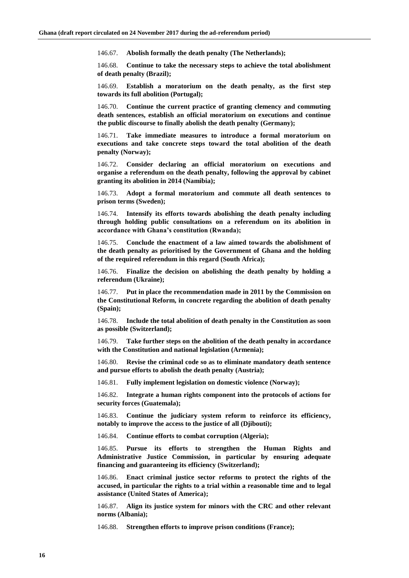146.67. **Abolish formally the death penalty (The Netherlands);**

146.68. **Continue to take the necessary steps to achieve the total abolishment of death penalty (Brazil);**

146.69. **Establish a moratorium on the death penalty, as the first step towards its full abolition (Portugal);**

146.70. **Continue the current practice of granting clemency and commuting death sentences, establish an official moratorium on executions and continue the public discourse to finally abolish the death penalty (Germany);**

146.71. **Take immediate measures to introduce a formal moratorium on executions and take concrete steps toward the total abolition of the death penalty (Norway);**

146.72. **Consider declaring an official moratorium on executions and organise a referendum on the death penalty, following the approval by cabinet granting its abolition in 2014 (Namibia);**

146.73. **Adopt a formal moratorium and commute all death sentences to prison terms (Sweden);**

146.74. **Intensify its efforts towards abolishing the death penalty including through holding public consultations on a referendum on its abolition in accordance with Ghana's constitution (Rwanda);**

146.75. **Conclude the enactment of a law aimed towards the abolishment of the death penalty as prioritised by the Government of Ghana and the holding of the required referendum in this regard (South Africa);**

146.76. **Finalize the decision on abolishing the death penalty by holding a referendum (Ukraine);**

146.77. **Put in place the recommendation made in 2011 by the Commission on the Constitutional Reform, in concrete regarding the abolition of death penalty (Spain);**

146.78. **Include the total abolition of death penalty in the Constitution as soon as possible (Switzerland);**

146.79. **Take further steps on the abolition of the death penalty in accordance with the Constitution and national legislation (Armenia);**

146.80. **Revise the criminal code so as to eliminate mandatory death sentence and pursue efforts to abolish the death penalty (Austria);**

146.81. **Fully implement legislation on domestic violence (Norway);**

146.82. **Integrate a human rights component into the protocols of actions for security forces (Guatemala);**

146.83. **Continue the judiciary system reform to reinforce its efficiency, notably to improve the access to the justice of all (Djibouti);**

146.84. **Continue efforts to combat corruption (Algeria);**

146.85. **Pursue its efforts to strengthen the Human Rights and Administrative Justice Commission, in particular by ensuring adequate financing and guaranteeing its efficiency (Switzerland);**

Enact criminal justice sector reforms to protect the rights of the **accused, in particular the rights to a trial within a reasonable time and to legal assistance (United States of America);**

146.87. **Align its justice system for minors with the CRC and other relevant norms (Albania);**

146.88. **Strengthen efforts to improve prison conditions (France);**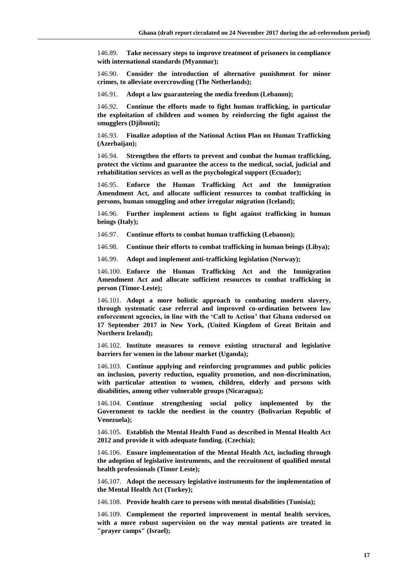146.89. **Take necessary steps to improve treatment of prisoners in compliance with international standards (Myanmar);**

146.90. **Consider the introduction of alternative punishment for minor crimes, to alleviate overcrowding (The Netherlands);**

146.91. **Adopt a law guaranteeing the media freedom (Lebanon);**

146.92. **Continue the efforts made to fight human trafficking, in particular the exploitation of children and women by reinforcing the fight against the smugglers (Djibouti);**

146.93. **Finalize adoption of the National Action Plan on Human Trafficking (Azerbaijan);**

146.94. **Strengthen the efforts to prevent and combat the human trafficking, protect the victims and guarantee the access to the medical, social, judicial and rehabilitation services as well as the psychological support (Ecuador);**

146.95. **Enforce the Human Trafficking Act and the Immigration Amendment Act, and allocate sufficient resources to combat trafficking in persons, human smuggling and other irregular migration (Iceland);**

146.96. **Further implement actions to fight against trafficking in human beings (Italy);**

146.97. **Continue efforts to combat human trafficking (Lebanon);**

146.98. **Continue their efforts to combat trafficking in human beings (Libya);**

146.99. **Adopt and implement anti-trafficking legislation (Norway);**

146.100. **Enforce the Human Trafficking Act and the Immigration Amendment Act and allocate sufficient resources to combat trafficking in person (Timor-Leste);**

146.101. **Adopt a more holistic approach to combating modern slavery, through systematic case referral and improved co-ordination between law enforcement agencies, in line with the 'Call to Action' that Ghana endorsed on 17 September 2017 in New York, (United Kingdom of Great Britain and Northern Ireland);**

146.102. **Institute measures to remove existing structural and legislative barriers for women in the labour market (Uganda);**

146.103. **Continue applying and reinforcing programmes and public policies on inclusion, poverty reduction, equality promotion, and non-discrimination, with particular attention to women, children, elderly and persons with disabilities, among other vulnerable groups (Nicaragua);**

146.104. **Continue strengthening social policy implemented by the Government to tackle the neediest in the country (Bolivarian Republic of Venezuela);**

146.105. **Establish the Mental Health Fund as described in Mental Health Act 2012 and provide it with adequate funding. (Czechia);**

146.106. **Ensure implementation of the Mental Health Act, including through the adoption of legislative instruments, and the recruitment of qualified mental health professionals (Timor Leste);**

146.107. **Adopt the necessary legislative instruments for the implementation of the Mental Health Act (Turkey);**

146.108. **Provide health care to persons with mental disabilities (Tunisia);**

146.109. **Complement the reported improvement in mental health services, with a more robust supervision on the way mental patients are treated in "prayer camps" (Israel);**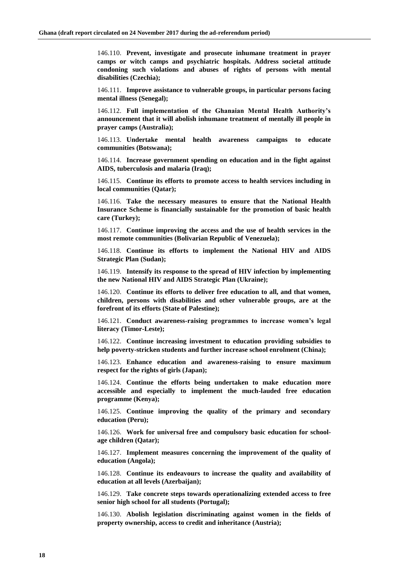146.110. **Prevent, investigate and prosecute inhumane treatment in prayer camps or witch camps and psychiatric hospitals. Address societal attitude condoning such violations and abuses of rights of persons with mental disabilities (Czechia);**

146.111. **Improve assistance to vulnerable groups, in particular persons facing mental illness (Senegal);**

146.112. **Full implementation of the Ghanaian Mental Health Authority's announcement that it will abolish inhumane treatment of mentally ill people in prayer camps (Australia);**

146.113. **Undertake mental health awareness campaigns to educate communities (Botswana);**

146.114. **Increase government spending on education and in the fight against AIDS, tuberculosis and malaria (Iraq);**

146.115. **Continue its efforts to promote access to health services including in local communities (Qatar);**

146.116. **Take the necessary measures to ensure that the National Health Insurance Scheme is financially sustainable for the promotion of basic health care (Turkey);**

146.117. **Continue improving the access and the use of health services in the most remote communities (Bolivarian Republic of Venezuela);**

146.118. **Continue its efforts to implement the National HIV and AIDS Strategic Plan (Sudan);**

146.119. **Intensify its response to the spread of HIV infection by implementing the new National HIV and AIDS Strategic Plan (Ukraine);**

146.120. **Continue its efforts to deliver free education to all, and that women, children, persons with disabilities and other vulnerable groups, are at the forefront of its efforts (State of Palestine);**

146.121. **Conduct awareness-raising programmes to increase women's legal literacy (Timor-Leste);**

146.122. **Continue increasing investment to education providing subsidies to help poverty-stricken students and further increase school enrolment (China);**

146.123. **Enhance education and awareness-raising to ensure maximum respect for the rights of girls (Japan);**

146.124. **Continue the efforts being undertaken to make education more accessible and especially to implement the much-lauded free education programme (Kenya);**

146.125. **Continue improving the quality of the primary and secondary education (Peru);**

146.126. **Work for universal free and compulsory basic education for schoolage children (Qatar);**

146.127. **Implement measures concerning the improvement of the quality of education (Angola);**

146.128. **Continue its endeavours to increase the quality and availability of education at all levels (Azerbaijan);**

146.129. **Take concrete steps towards operationalizing extended access to free senior high school for all students (Portugal);**

146.130. **Abolish legislation discriminating against women in the fields of property ownership, access to credit and inheritance (Austria);**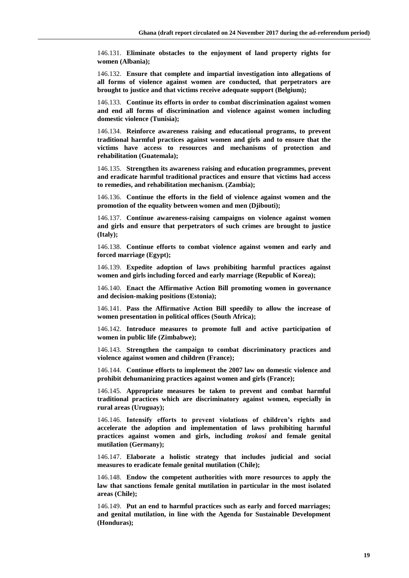146.131. **Eliminate obstacles to the enjoyment of land property rights for women (Albania);**

146.132. **Ensure that complete and impartial investigation into allegations of all forms of violence against women are conducted, that perpetrators are brought to justice and that victims receive adequate support (Belgium);**

146.133. **Continue its efforts in order to combat discrimination against women and end all forms of discrimination and violence against women including domestic violence (Tunisia);**

146.134. **Reinforce awareness raising and educational programs, to prevent traditional harmful practices against women and girls and to ensure that the victims have access to resources and mechanisms of protection and rehabilitation (Guatemala);**

146.135. **Strengthen its awareness raising and education programmes, prevent and eradicate harmful traditional practices and ensure that victims had access to remedies, and rehabilitation mechanism. (Zambia);**

146.136. **Continue the efforts in the field of violence against women and the promotion of the equality between women and men (Djibouti);**

146.137. **Continue awareness-raising campaigns on violence against women and girls and ensure that perpetrators of such crimes are brought to justice (Italy);**

146.138. **Continue efforts to combat violence against women and early and forced marriage (Egypt);**

146.139. **Expedite adoption of laws prohibiting harmful practices against women and girls including forced and early marriage (Republic of Korea);**

146.140. **Enact the Affirmative Action Bill promoting women in governance and decision-making positions (Estonia);**

146.141. **Pass the Affirmative Action Bill speedily to allow the increase of women presentation in political offices (South Africa);**

146.142. **Introduce measures to promote full and active participation of women in public life (Zimbabwe);**

146.143. **Strengthen the campaign to combat discriminatory practices and violence against women and children (France);**

146.144. **Continue efforts to implement the 2007 law on domestic violence and prohibit dehumanizing practices against women and girls (France);**

146.145. **Appropriate measures be taken to prevent and combat harmful traditional practices which are discriminatory against women, especially in rural areas (Uruguay);**

146.146. **Intensify efforts to prevent violations of children's rights and accelerate the adoption and implementation of laws prohibiting harmful practices against women and girls, including** *trokosi* **and female genital mutilation (Germany);**

146.147. **Elaborate a holistic strategy that includes judicial and social measures to eradicate female genital mutilation (Chile);**

146.148. **Endow the competent authorities with more resources to apply the law that sanctions female genital mutilation in particular in the most isolated areas (Chile);**

146.149. **Put an end to harmful practices such as early and forced marriages; and genital mutilation, in line with the Agenda for Sustainable Development (Honduras);**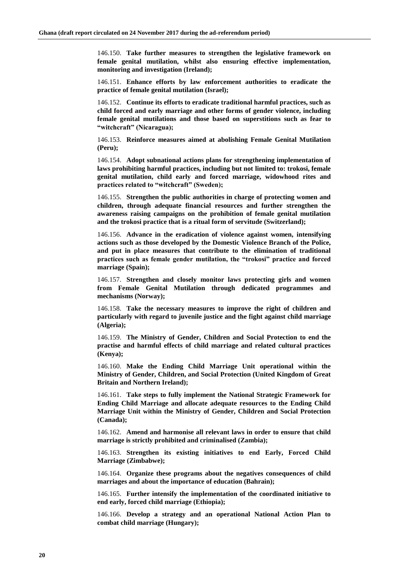146.150. **Take further measures to strengthen the legislative framework on female genital mutilation, whilst also ensuring effective implementation, monitoring and investigation (Ireland);**

146.151. **Enhance efforts by law enforcement authorities to eradicate the practice of female genital mutilation (Israel);**

146.152. **Continue its efforts to eradicate traditional harmful practices, such as child forced and early marriage and other forms of gender violence, including female genital mutilations and those based on superstitions such as fear to "witchcraft" (Nicaragua);**

146.153. **Reinforce measures aimed at abolishing Female Genital Mutilation (Peru);**

146.154. **Adopt subnational actions plans for strengthening implementation of laws prohibiting harmful practices, including but not limited to: trokosi, female genital mutilation, child early and forced marriage, widowhood rites and practices related to "witchcraft" (Sweden);**

146.155. **Strengthen the public authorities in charge of protecting women and children, through adequate financial resources and further strengthen the awareness raising campaigns on the prohibition of female genital mutilation and the trokosi practice that is a ritual form of servitude (Switzerland);**

146.156. **Advance in the eradication of violence against women, intensifying actions such as those developed by the Domestic Violence Branch of the Police, and put in place measures that contribute to the elimination of traditional practices such as female gender mutilation, the "trokosi" practice and forced marriage (Spain);**

146.157. **Strengthen and closely monitor laws protecting girls and women from Female Genital Mutilation through dedicated programmes and mechanisms (Norway);**

146.158. **Take the necessary measures to improve the right of children and particularly with regard to juvenile justice and the fight against child marriage (Algeria);**

146.159. **The Ministry of Gender, Children and Social Protection to end the practise and harmful effects of child marriage and related cultural practices (Kenya);**

146.160. **Make the Ending Child Marriage Unit operational within the Ministry of Gender, Children, and Social Protection (United Kingdom of Great Britain and Northern Ireland);**

146.161. **Take steps to fully implement the National Strategic Framework for Ending Child Marriage and allocate adequate resources to the Ending Child Marriage Unit within the Ministry of Gender, Children and Social Protection (Canada);**

146.162. **Amend and harmonise all relevant laws in order to ensure that child marriage is strictly prohibited and criminalised (Zambia);**

146.163. **Strengthen its existing initiatives to end Early, Forced Child Marriage (Zimbabwe);**

146.164. **Organize these programs about the negatives consequences of child marriages and about the importance of education (Bahrain);**

146.165. **Further intensify the implementation of the coordinated initiative to end early, forced child marriage (Ethiopia);**

146.166. **Develop a strategy and an operational National Action Plan to combat child marriage (Hungary);**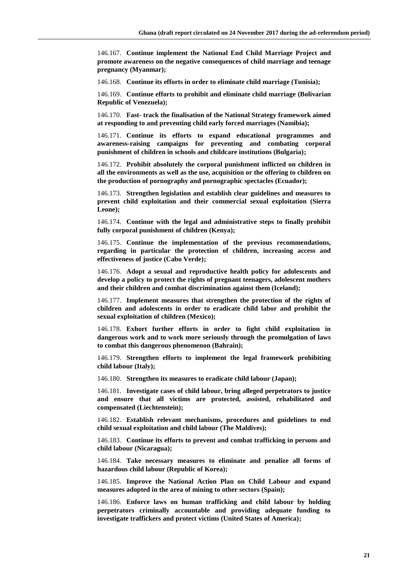146.167. **Continue implement the National End Child Marriage Project and promote awareness on the negative consequences of child marriage and teenage pregnancy (Myanmar);**

146.168. **Continue its efforts in order to eliminate child marriage (Tunisia);**

146.169. **Continue efforts to prohibit and eliminate child marriage (Bolivarian Republic of Venezuela);**

146.170. **Fast- track the finalisation of the National Strategy framework aimed at responding to and preventing child early forced marriages (Namibia);**

146.171. **Continue its efforts to expand educational programmes and awareness-raising campaigns for preventing and combating corporal punishment of children in schools and childcare institutions (Bulgaria);**

146.172. **Prohibit absolutely the corporal punishment inflicted on children in all the environments as well as the use, acquisition or the offering to children on the production of pornography and pornographic spectacles (Ecuador);**

146.173. **Strengthen legislation and establish clear guidelines and measures to prevent child exploitation and their commercial sexual exploitation (Sierra Leone);**

146.174. **Continue with the legal and administrative steps to finally prohibit fully corporal punishment of children (Kenya);**

146.175. **Continue the implementation of the previous recommendations, regarding in particular the protection of children, increasing access and effectiveness of justice (Cabo Verde);**

146.176. **Adopt a sexual and reproductive health policy for adolescents and develop a policy to protect the rights of pregnant teenagers, adolescent mothers and their children and combat discrimination against them (Iceland);**

146.177. **Implement measures that strengthen the protection of the rights of children and adolescents in order to eradicate child labor and prohibit the sexual exploitation of children (Mexico);**

146.178. **Exhort further efforts in order to fight child exploitation in dangerous work and to work more seriously through the promulgation of laws to combat this dangerous phenomenon (Bahrain);**

146.179. **Strengthen efforts to implement the legal framework prohibiting child labour (Italy);**

146.180. **Strengthen its measures to eradicate child labour (Japan);**

146.181. **Investigate cases of child labour, bring alleged perpetrators to justice and ensure that all victims are protected, assisted, rehabilitated and compensated (Liechtenstein);**

146.182. **Establish relevant mechanisms, procedures and guidelines to end child sexual exploitation and child labour (The Maldives);**

146.183. **Continue its efforts to prevent and combat trafficking in persons and child labour (Nicaragua);**

146.184. **Take necessary measures to eliminate and penalize all forms of hazardous child labour (Republic of Korea);**

146.185. **Improve the National Action Plan on Child Labour and expand measures adopted in the area of mining to other sectors (Spain);**

146.186. **Enforce laws on human trafficking and child labour by holding perpetrators criminally accountable and providing adequate funding to investigate traffickers and protect victims (United States of America);**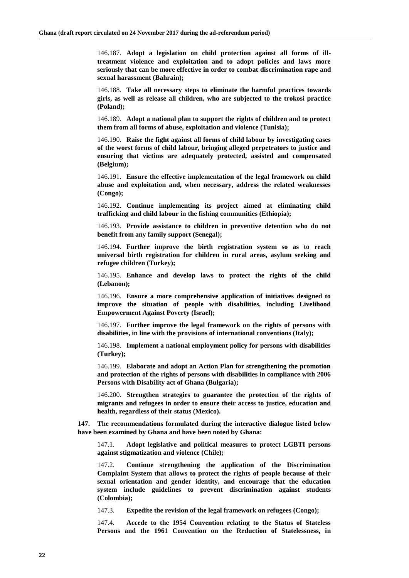146.187. **Adopt a legislation on child protection against all forms of illtreatment violence and exploitation and to adopt policies and laws more seriously that can be more effective in order to combat discrimination rape and sexual harassment (Bahrain);**

146.188. **Take all necessary steps to eliminate the harmful practices towards girls, as well as release all children, who are subjected to the trokosi practice (Poland);**

146.189. **Adopt a national plan to support the rights of children and to protect them from all forms of abuse, exploitation and violence (Tunisia);**

146.190. **Raise the fight against all forms of child labour by investigating cases of the worst forms of child labour, bringing alleged perpetrators to justice and ensuring that victims are adequately protected, assisted and compensated (Belgium);**

146.191. **Ensure the effective implementation of the legal framework on child abuse and exploitation and, when necessary, address the related weaknesses (Congo);**

146.192. **Continue implementing its project aimed at eliminating child trafficking and child labour in the fishing communities (Ethiopia);**

146.193. **Provide assistance to children in preventive detention who do not benefit from any family support (Senegal);**

146.194. **Further improve the birth registration system so as to reach universal birth registration for children in rural areas, asylum seeking and refugee children (Turkey);**

146.195. **Enhance and develop laws to protect the rights of the child (Lebanon);**

146.196. **Ensure a more comprehensive application of initiatives designed to improve the situation of people with disabilities, including Livelihood Empowerment Against Poverty (Israel);**

146.197. **Further improve the legal framework on the rights of persons with disabilities, in line with the provisions of international conventions (Italy);**

146.198. **Implement a national employment policy for persons with disabilities (Turkey);**

146.199. **Elaborate and adopt an Action Plan for strengthening the promotion and protection of the rights of persons with disabilities in compliance with 2006 Persons with Disability act of Ghana (Bulgaria);**

146.200. **Strengthen strategies to guarantee the protection of the rights of migrants and refugees in order to ensure their access to justice, education and health, regardless of their status (Mexico).**

**147. The recommendations formulated during the interactive dialogue listed below have been examined by Ghana and have been noted by Ghana:**

147.1. **Adopt legislative and political measures to protect LGBTI persons against stigmatization and violence (Chile);**

147.2. **Continue strengthening the application of the Discrimination Complaint System that allows to protect the rights of people because of their sexual orientation and gender identity, and encourage that the education system include guidelines to prevent discrimination against students (Colombia);**

147.3. **Expedite the revision of the legal framework on refugees (Congo);**

147.4. **Accede to the 1954 Convention relating to the Status of Stateless Persons and the 1961 Convention on the Reduction of Statelessness, in**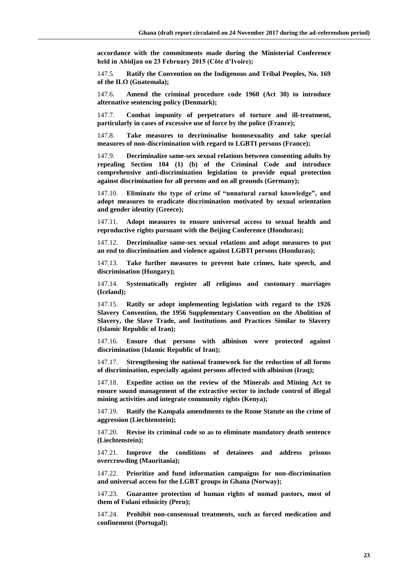**accordance with the commitments made during the Ministerial Conference held in Abidjan on 23 February 2015 (Côte d'Ivoire);**

147.5. **Ratify the Convention on the Indigenous and Tribal Peoples, No. 169 of the ILO (Guatemala);**

147.6. **Amend the criminal procedure code 1960 (Act 30) to introduce alternative sentencing policy (Denmark);**

147.7. **Combat impunity of perpetrators of torture and ill-treatment, particularly in cases of excessive use of force by the police (France);**

147.8. **Take measures to decriminalise homosexuality and take special measures of non-discrimination with regard to LGBTI persons (France);**

147.9. **Decriminalize same-sex sexual relations between consenting adults by repealing Section 104 (1) (b) of the Criminal Code and introduce comprehensive anti-discrimination legislation to provide equal protection against discrimination for all persons and on all grounds (Germany);**

147.10. **Eliminate the type of crime of "unnatural carnal knowledge", and adopt measures to eradicate discrimination motivated by sexual orientation and gender identity (Greece);**

147.11. **Adopt measures to ensure universal access to sexual health and reproductive rights pursuant with the Beijing Conference (Honduras);**

147.12. **Decriminalize same-sex sexual relations and adopt measures to put an end to discrimination and violence against LGBTI persons (Honduras);**

147.13. **Take further measures to prevent hate crimes, hate speech, and discrimination (Hungary);**

147.14. **Systematically register all religious and customary marriages (Iceland);**

147.15. **Ratify or adopt implementing legislation with regard to the 1926 Slavery Convention, the 1956 Supplementary Convention on the Abolition of Slavery, the Slave Trade, and Institutions and Practices Similar to Slavery (Islamic Republic of Iran);**

147.16. **Ensure that persons with albinism were protected against discrimination (Islamic Republic of Iran);**

147.17. **Strengthening the national framework for the reduction of all forms of discrimination, especially against persons affected with albinism (Iraq);**

147.18. **Expedite action on the review of the Minerals and Mining Act to ensure sound management of the extractive sector to include control of illegal mining activities and integrate community rights (Kenya);**

147.19. **Ratify the Kampala amendments to the Rome Statute on the crime of aggression (Liechtenstein);**

147.20. **Revise its criminal code so as to eliminate mandatory death sentence (Liechtenstein);**

147.21. **Improve the conditions of detainees and address prisons overcrowding (Mauritania);**

147.22. **Prioritize and fund information campaigns for non-discrimination and universal access for the LGBT groups in Ghana (Norway);**

147.23. **Guarantee protection of human rights of nomad pastors, most of them of Fulani ethnicity (Peru);**

147.24. **Prohibit non-consensual treatments, such as forced medication and confinement (Portugal);**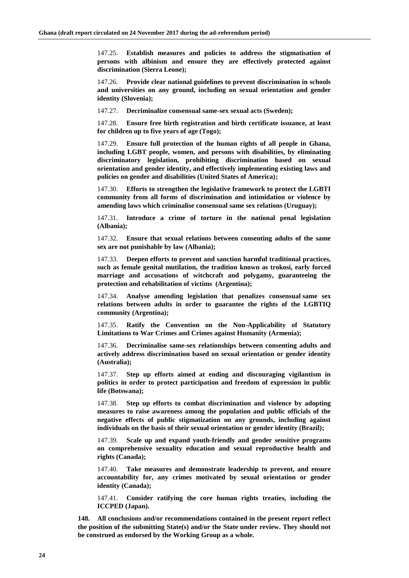147.25. **Establish measures and policies to address the stigmatisation of persons with albinism and ensure they are effectively protected against discrimination (Sierra Leone);**

147.26. **Provide clear national guidelines to prevent discrimination in schools and universities on any ground, including on sexual orientation and gender identity (Slovenia);**

147.27. **Decriminalize consensual same-sex sexual acts (Sweden);**

147.28. **Ensure free birth registration and birth certificate issuance, at least for children up to five years of age (Togo);**

147.29. **Ensure full protection of the human rights of all people in Ghana, including LGBT people, women, and persons with disabilities, by eliminating discriminatory legislation, prohibiting discrimination based on sexual orientation and gender identity, and effectively implementing existing laws and policies on gender and disabilities (United States of America);**

147.30. **Efforts to strengthen the legislative framework to protect the LGBTI community from all forms of discrimination and intimidation or violence by amending laws which criminalise consensual same sex relations (Uruguay);**

147.31. **Introduce a crime of torture in the national penal legislation (Albania);**

147.32. **Ensure that sexual relations between consenting adults of the same sex are not punishable by law (Albania);**

147.33. **Deepen efforts to prevent and sanction harmful traditional practices, such as female genital mutilation, the tradition known as trokosi, early forced marriage and accusations of witchcraft and polygamy, guaranteeing the protection and rehabilitation of victims (Argentina);**

147.34. **Analyse amending legislation that penalizes consensual same sex relations between adults in order to guarantee the rights of the LGBTIQ community (Argentina);**

147.35. **Ratify the Convention on the Non-Applicability of Statutory Limitations to War Crimes and Crimes against Humanity (Armenia);**

147.36. **Decriminalise same-sex relationships between consenting adults and actively address discrimination based on sexual orientation or gender identity (Australia);**

147.37. **Step up efforts aimed at ending and discouraging vigilantism in politics in order to protect participation and freedom of expression in public life (Botswana);**

147.38. **Step up efforts to combat discrimination and violence by adopting measures to raise awareness among the population and public officials of the negative effects of public stigmatization on any grounds, including against individuals on the basis of their sexual orientation or gender identity (Brazil);**

147.39. **Scale up and expand youth-friendly and gender sensitive programs on comprehensive sexuality education and sexual reproductive health and rights (Canada);**

147.40. **Take measures and demonstrate leadership to prevent, and ensure accountability for, any crimes motivated by sexual orientation or gender identity (Canada);**

147.41. **Consider ratifying the core human rights treaties, including the ICCPED (Japan).**

**148. All conclusions and/or recommendations contained in the present report reflect the position of the submitting State(s) and/or the State under review. They should not be construed as endorsed by the Working Group as a whole.**